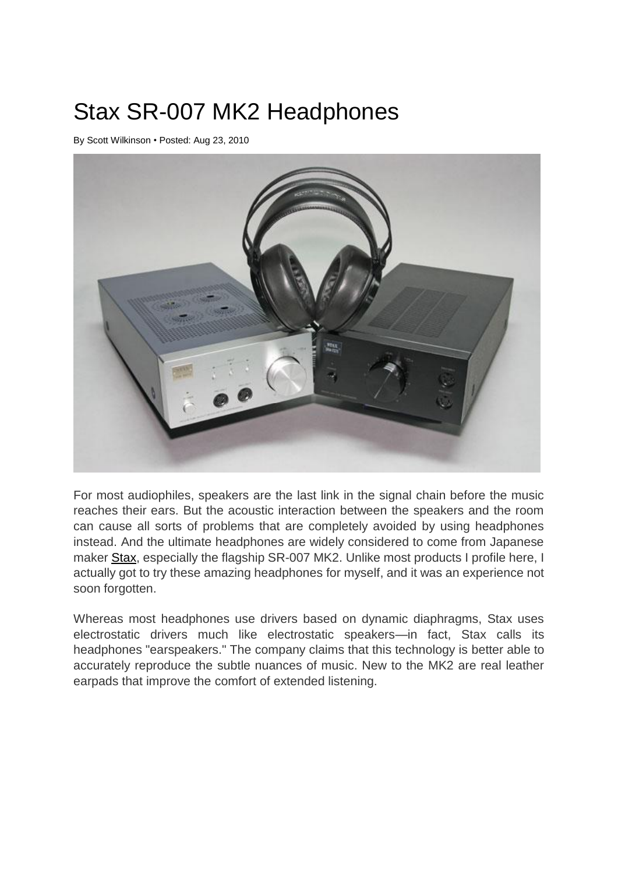## Stax SR-007 MK2 Headphones

By [Scott Wilkinson](http://www.soundandvision.com/writer/12766) • Posted: Aug 23, 2010



For most audiophiles, speakers are the last link in the signal chain before the music reaches their ears. But the acoustic interaction between the speakers and the room can cause all sorts of problems that are completely avoided by using headphones instead. And the ultimate headphones are widely considered to come from Japanese maker [Stax,](http://www.stax.co.jp/index-E.html) especially the flagship SR-007 MK2. Unlike most products I profile here, I actually got to try these amazing headphones for myself, and it was an experience not soon forgotten.

Whereas most headphones use drivers based on dynamic diaphragms, Stax uses electrostatic drivers much like electrostatic speakers—in fact, Stax calls its headphones "earspeakers." The company claims that this technology is better able to accurately reproduce the subtle nuances of music. New to the MK2 are real leather earpads that improve the comfort of extended listening.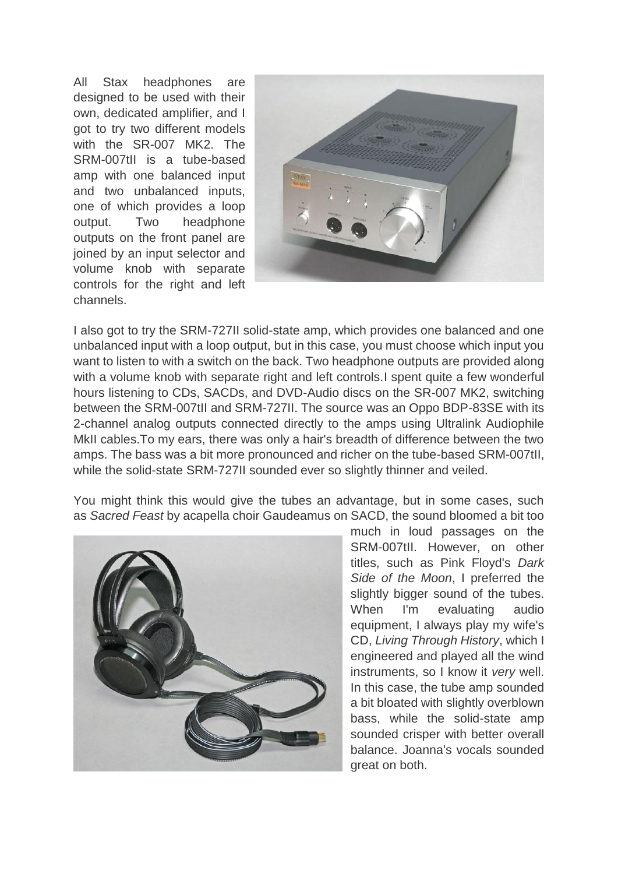All Stax headphones are designed to be used with their own, dedicated amplifier, and I got to try two different models with the SR-007 MK2. The SRM-007tII is a tube-based amp with one balanced input and two unbalanced inputs, one of which provides a loop output. Two headphone outputs on the front panel are joined by an input selector and volume knob with separate controls for the right and left channels.



I also got to try the SRM-727II solid-state amp, which provides one balanced and one unbalanced input with a loop output, but in this case, you must choose which input you want to listen to with a switch on the back. Two headphone outputs are provided along with a volume knob with separate right and left controls. I spent quite a few wonderful hours listening to CDs, SACDs, and DVD-Audio discs on the SR-007 MK2, switching between the SRM-007tII and SRM-727II. The source was an Oppo BDP-83SE with its 2-channel analog outputs connected directly to the amps using Ultralink Audiophile MkII cables.To my ears, there was only a hair's breadth of difference between the two amps. The bass was a bit more pronounced and richer on the tube-based SRM-007tII, while the solid-state SRM-727II sounded ever so slightly thinner and veiled.

You might think this would give the tubes an advantage, but in some cases, such as *Sacred Feast* by acapella choir Gaudeamus on SACD, the sound bloomed a bit too



much in loud passages on the SRM-007tII. However, on other titles, such as Pink Floyd's *Dark Side of the Moon*, I preferred the slightly bigger sound of the tubes. When I'm evaluating audio equipment, I always play my wife's CD, *Living Through History*, which I engineered and played all the wind instruments, so I know it *very* well. In this case, the tube amp sounded a bit bloated with slightly overblown bass, while the solid-state amp sounded crisper with better overall balance. Joanna's vocals sounded great on both.